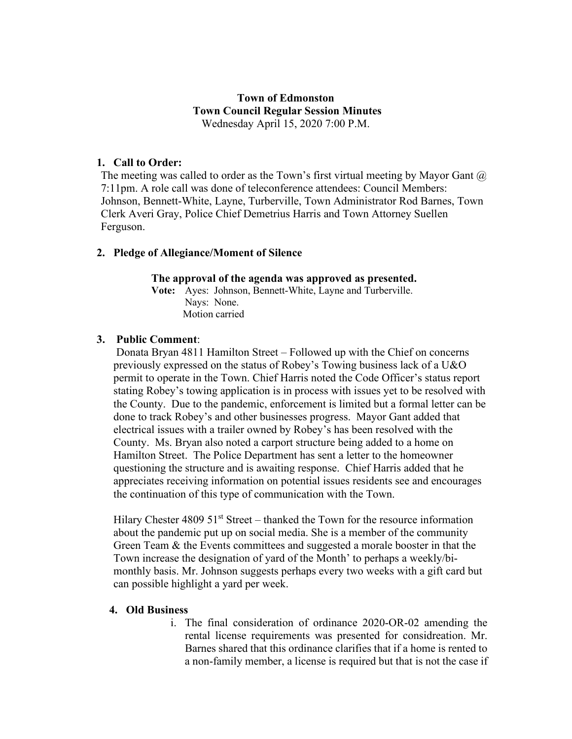# **Town of Edmonston Town Council Regular Session Minutes** Wednesday April 15, 2020 7:00 P.M.

## **1. Call to Order:**

The meeting was called to order as the Town's first virtual meeting by Mayor Gant  $\omega$ 7:11pm. A role call was done of teleconference attendees: Council Members: Johnson, Bennett-White, Layne, Turberville, Town Administrator Rod Barnes, Town Clerk Averi Gray, Police Chief Demetrius Harris and Town Attorney Suellen Ferguson.

## **2. Pledge of Allegiance/Moment of Silence**

**The approval of the agenda was approved as presented.** 

**Vote:** Ayes: Johnson, Bennett-White, Layne and Turberville. Nays: None. Motion carried

## **3. Public Comment**:

Donata Bryan 4811 Hamilton Street – Followed up with the Chief on concerns previously expressed on the status of Robey's Towing business lack of a U&O permit to operate in the Town. Chief Harris noted the Code Officer's status report stating Robey's towing application is in process with issues yet to be resolved with the County. Due to the pandemic, enforcement is limited but a formal letter can be done to track Robey's and other businesses progress. Mayor Gant added that electrical issues with a trailer owned by Robey's has been resolved with the County. Ms. Bryan also noted a carport structure being added to a home on Hamilton Street. The Police Department has sent a letter to the homeowner questioning the structure and is awaiting response. Chief Harris added that he appreciates receiving information on potential issues residents see and encourages the continuation of this type of communication with the Town.

Hilary Chester 4809  $51<sup>st</sup>$  Street – thanked the Town for the resource information about the pandemic put up on social media. She is a member of the community Green Team & the Events committees and suggested a morale booster in that the Town increase the designation of yard of the Month' to perhaps a weekly/bimonthly basis. Mr. Johnson suggests perhaps every two weeks with a gift card but can possible highlight a yard per week.

### **4. Old Business**

i. The final consideration of ordinance 2020-OR-02 amending the rental license requirements was presented for considreation. Mr. Barnes shared that this ordinance clarifies that if a home is rented to a non-family member, a license is required but that is not the case if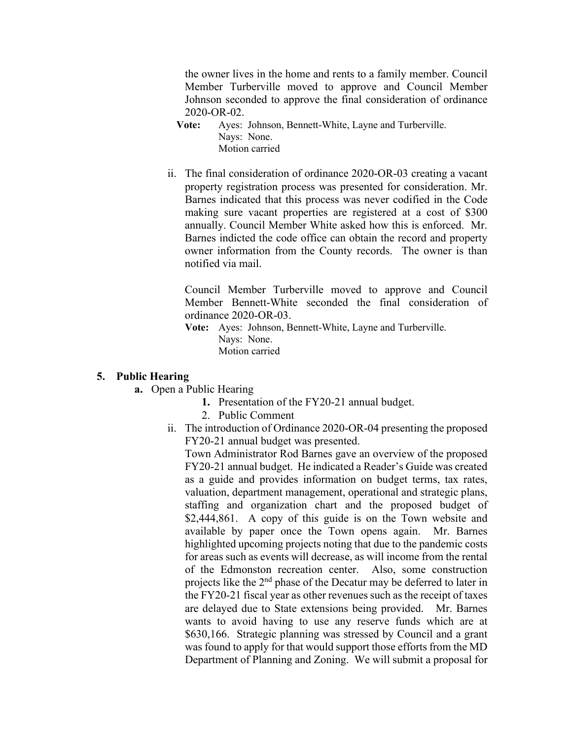the owner lives in the home and rents to a family member. Council Member Turberville moved to approve and Council Member Johnson seconded to approve the final consideration of ordinance 2020-OR-02.

- **Vote:** Ayes: Johnson, Bennett-White, Layne and Turberville. Nays: None. Motion carried
- ii. The final consideration of ordinance 2020-OR-03 creating a vacant property registration process was presented for consideration. Mr. Barnes indicated that this process was never codified in the Code making sure vacant properties are registered at a cost of \$300 annually. Council Member White asked how this is enforced. Mr. Barnes indicted the code office can obtain the record and property owner information from the County records. The owner is than notified via mail.

Council Member Turberville moved to approve and Council Member Bennett-White seconded the final consideration of ordinance 2020-OR-03.

**Vote:** Ayes: Johnson, Bennett-White, Layne and Turberville. Nays: None. Motion carried

# **5. Public Hearing**

- **a.** Open a Public Hearing
	- **1.** Presentation of the FY20-21 annual budget.
	- 2. Public Comment
	- ii. The introduction of Ordinance 2020-OR-04 presenting the proposed FY20-21 annual budget was presented.

Town Administrator Rod Barnes gave an overview of the proposed FY20-21 annual budget. He indicated a Reader's Guide was created as a guide and provides information on budget terms, tax rates, valuation, department management, operational and strategic plans, staffing and organization chart and the proposed budget of \$2,444,861. A copy of this guide is on the Town website and available by paper once the Town opens again. Mr. Barnes highlighted upcoming projects noting that due to the pandemic costs for areas such as events will decrease, as will income from the rental of the Edmonston recreation center. Also, some construction projects like the  $2<sup>nd</sup>$  phase of the Decatur may be deferred to later in the FY20-21 fiscal year as other revenues such as the receipt of taxes are delayed due to State extensions being provided. Mr. Barnes wants to avoid having to use any reserve funds which are at \$630,166. Strategic planning was stressed by Council and a grant was found to apply for that would support those efforts from the MD Department of Planning and Zoning. We will submit a proposal for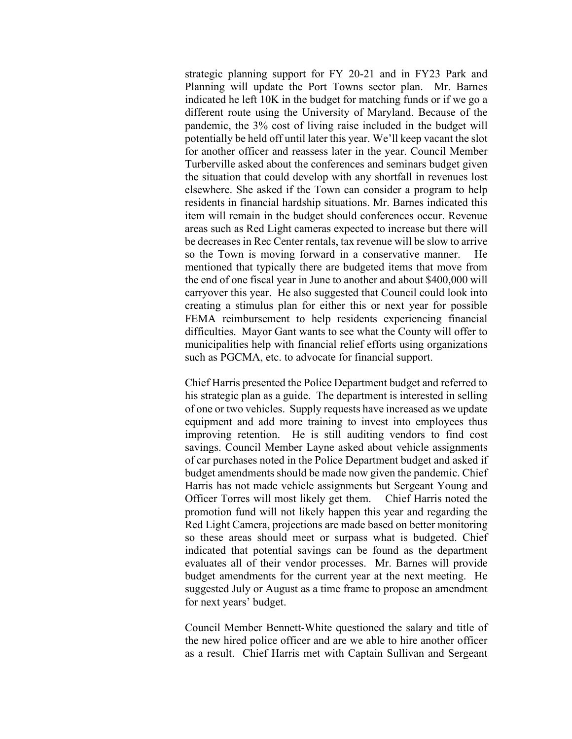strategic planning support for FY 20-21 and in FY23 Park and Planning will update the Port Towns sector plan. Mr. Barnes indicated he left 10K in the budget for matching funds or if we go a different route using the University of Maryland. Because of the pandemic, the 3% cost of living raise included in the budget will potentially be held off until later this year. We'll keep vacant the slot for another officer and reassess later in the year. Council Member Turberville asked about the conferences and seminars budget given the situation that could develop with any shortfall in revenues lost elsewhere. She asked if the Town can consider a program to help residents in financial hardship situations. Mr. Barnes indicated this item will remain in the budget should conferences occur. Revenue areas such as Red Light cameras expected to increase but there will be decreases in Rec Center rentals, tax revenue will be slow to arrive so the Town is moving forward in a conservative manner. mentioned that typically there are budgeted items that move from the end of one fiscal year in June to another and about \$400,000 will carryover this year. He also suggested that Council could look into creating a stimulus plan for either this or next year for possible FEMA reimbursement to help residents experiencing financial difficulties. Mayor Gant wants to see what the County will offer to municipalities help with financial relief efforts using organizations such as PGCMA, etc. to advocate for financial support.

Chief Harris presented the Police Department budget and referred to his strategic plan as a guide. The department is interested in selling of one or two vehicles. Supply requests have increased as we update equipment and add more training to invest into employees thus improving retention. He is still auditing vendors to find cost savings. Council Member Layne asked about vehicle assignments of car purchases noted in the Police Department budget and asked if budget amendments should be made now given the pandemic. Chief Harris has not made vehicle assignments but Sergeant Young and Officer Torres will most likely get them. Chief Harris noted the promotion fund will not likely happen this year and regarding the Red Light Camera, projections are made based on better monitoring so these areas should meet or surpass what is budgeted. Chief indicated that potential savings can be found as the department evaluates all of their vendor processes. Mr. Barnes will provide budget amendments for the current year at the next meeting. He suggested July or August as a time frame to propose an amendment for next years' budget.

Council Member Bennett-White questioned the salary and title of the new hired police officer and are we able to hire another officer as a result. Chief Harris met with Captain Sullivan and Sergeant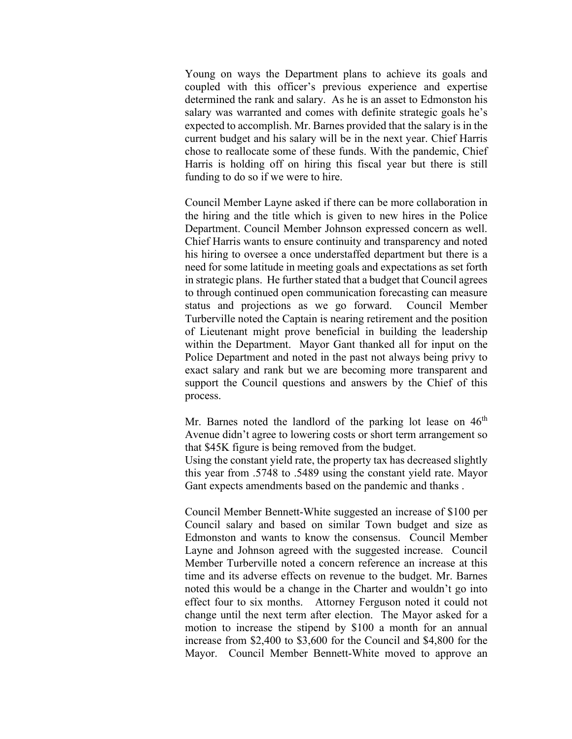Young on ways the Department plans to achieve its goals and coupled with this officer's previous experience and expertise determined the rank and salary. As he is an asset to Edmonston his salary was warranted and comes with definite strategic goals he's expected to accomplish. Mr. Barnes provided that the salary is in the current budget and his salary will be in the next year. Chief Harris chose to reallocate some of these funds. With the pandemic, Chief Harris is holding off on hiring this fiscal year but there is still funding to do so if we were to hire.

Council Member Layne asked if there can be more collaboration in the hiring and the title which is given to new hires in the Police Department. Council Member Johnson expressed concern as well. Chief Harris wants to ensure continuity and transparency and noted his hiring to oversee a once understaffed department but there is a need for some latitude in meeting goals and expectations as set forth in strategic plans. He further stated that a budget that Council agrees to through continued open communication forecasting can measure status and projections as we go forward. Council Member Turberville noted the Captain is nearing retirement and the position of Lieutenant might prove beneficial in building the leadership within the Department. Mayor Gant thanked all for input on the Police Department and noted in the past not always being privy to exact salary and rank but we are becoming more transparent and support the Council questions and answers by the Chief of this process.

Mr. Barnes noted the landlord of the parking lot lease on  $46<sup>th</sup>$ Avenue didn't agree to lowering costs or short term arrangement so that \$45K figure is being removed from the budget.

Using the constant yield rate, the property tax has decreased slightly this year from .5748 to .5489 using the constant yield rate. Mayor Gant expects amendments based on the pandemic and thanks .

Council Member Bennett-White suggested an increase of \$100 per Council salary and based on similar Town budget and size as Edmonston and wants to know the consensus. Council Member Layne and Johnson agreed with the suggested increase. Council Member Turberville noted a concern reference an increase at this time and its adverse effects on revenue to the budget. Mr. Barnes noted this would be a change in the Charter and wouldn't go into effect four to six months. Attorney Ferguson noted it could not change until the next term after election. The Mayor asked for a motion to increase the stipend by \$100 a month for an annual increase from \$2,400 to \$3,600 for the Council and \$4,800 for the Mayor. Council Member Bennett-White moved to approve an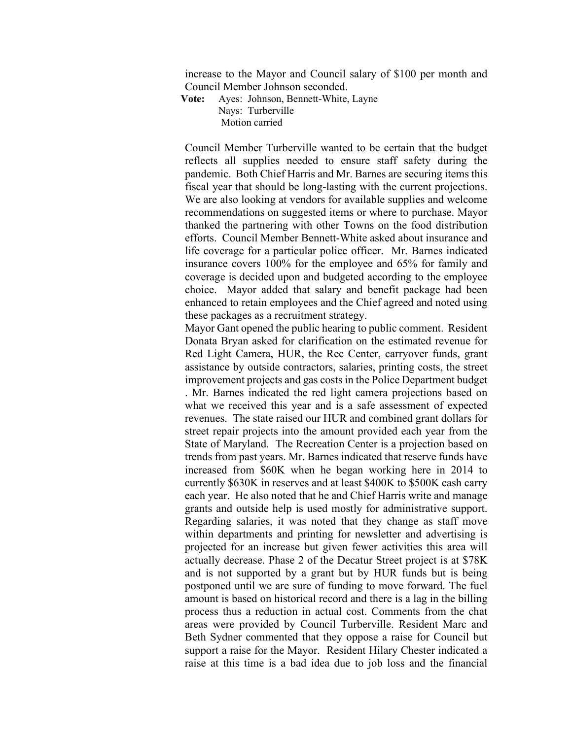increase to the Mayor and Council salary of \$100 per month and Council Member Johnson seconded.

**Vote:** Ayes: Johnson, Bennett-White, Layne Nays: Turberville Motion carried

Council Member Turberville wanted to be certain that the budget reflects all supplies needed to ensure staff safety during the pandemic. Both Chief Harris and Mr. Barnes are securing items this fiscal year that should be long-lasting with the current projections. We are also looking at vendors for available supplies and welcome recommendations on suggested items or where to purchase. Mayor thanked the partnering with other Towns on the food distribution efforts. Council Member Bennett-White asked about insurance and life coverage for a particular police officer. Mr. Barnes indicated insurance covers 100% for the employee and 65% for family and coverage is decided upon and budgeted according to the employee choice. Mayor added that salary and benefit package had been enhanced to retain employees and the Chief agreed and noted using these packages as a recruitment strategy.

Mayor Gant opened the public hearing to public comment. Resident Donata Bryan asked for clarification on the estimated revenue for Red Light Camera, HUR, the Rec Center, carryover funds, grant assistance by outside contractors, salaries, printing costs, the street improvement projects and gas costs in the Police Department budget . Mr. Barnes indicated the red light camera projections based on what we received this year and is a safe assessment of expected revenues. The state raised our HUR and combined grant dollars for street repair projects into the amount provided each year from the State of Maryland. The Recreation Center is a projection based on trends from past years. Mr. Barnes indicated that reserve funds have increased from \$60K when he began working here in 2014 to currently \$630K in reserves and at least \$400K to \$500K cash carry each year. He also noted that he and Chief Harris write and manage grants and outside help is used mostly for administrative support. Regarding salaries, it was noted that they change as staff move within departments and printing for newsletter and advertising is projected for an increase but given fewer activities this area will actually decrease. Phase 2 of the Decatur Street project is at \$78K and is not supported by a grant but by HUR funds but is being postponed until we are sure of funding to move forward. The fuel amount is based on historical record and there is a lag in the billing process thus a reduction in actual cost. Comments from the chat areas were provided by Council Turberville. Resident Marc and Beth Sydner commented that they oppose a raise for Council but support a raise for the Mayor. Resident Hilary Chester indicated a raise at this time is a bad idea due to job loss and the financial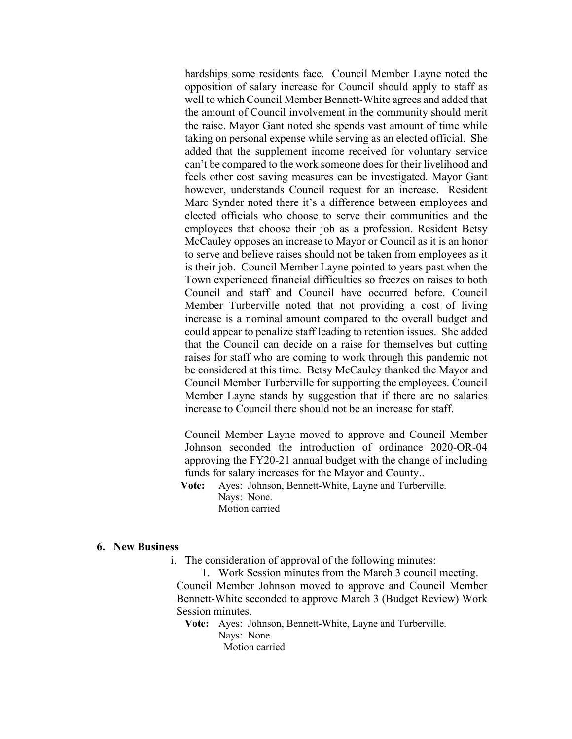hardships some residents face. Council Member Layne noted the opposition of salary increase for Council should apply to staff as well to which Council Member Bennett-White agrees and added that the amount of Council involvement in the community should merit the raise. Mayor Gant noted she spends vast amount of time while taking on personal expense while serving as an elected official. She added that the supplement income received for voluntary service can't be compared to the work someone does for their livelihood and feels other cost saving measures can be investigated. Mayor Gant however, understands Council request for an increase. Resident Marc Synder noted there it's a difference between employees and elected officials who choose to serve their communities and the employees that choose their job as a profession. Resident Betsy McCauley opposes an increase to Mayor or Council as it is an honor to serve and believe raises should not be taken from employees as it is their job. Council Member Layne pointed to years past when the Town experienced financial difficulties so freezes on raises to both Council and staff and Council have occurred before. Council Member Turberville noted that not providing a cost of living increase is a nominal amount compared to the overall budget and could appear to penalize staff leading to retention issues. She added that the Council can decide on a raise for themselves but cutting raises for staff who are coming to work through this pandemic not be considered at this time. Betsy McCauley thanked the Mayor and Council Member Turberville for supporting the employees. Council Member Layne stands by suggestion that if there are no salaries increase to Council there should not be an increase for staff.

Council Member Layne moved to approve and Council Member Johnson seconded the introduction of ordinance 2020-OR-04 approving the FY20-21 annual budget with the change of including funds for salary increases for the Mayor and County..

**Vote:** Ayes: Johnson, Bennett-White, Layne and Turberville. Nays: None. Motion carried

### **6. New Business**

i. The consideration of approval of the following minutes:

1. Work Session minutes from the March 3 council meeting. Council Member Johnson moved to approve and Council Member Bennett-White seconded to approve March 3 (Budget Review) Work Session minutes.

**Vote:** Ayes: Johnson, Bennett-White, Layne and Turberville. Nays: None. Motion carried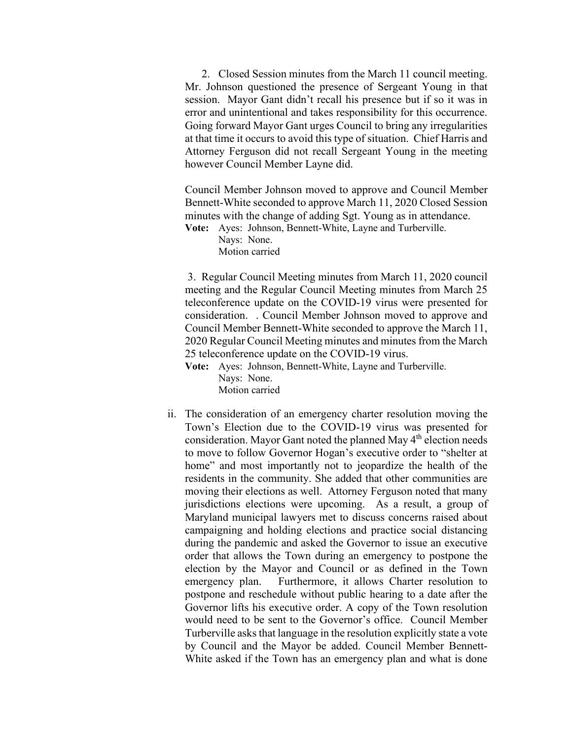2. Closed Session minutes from the March 11 council meeting. Mr. Johnson questioned the presence of Sergeant Young in that session. Mayor Gant didn't recall his presence but if so it was in error and unintentional and takes responsibility for this occurrence. Going forward Mayor Gant urges Council to bring any irregularities at that time it occurs to avoid this type of situation. Chief Harris and Attorney Ferguson did not recall Sergeant Young in the meeting however Council Member Layne did.

Council Member Johnson moved to approve and Council Member Bennett-White seconded to approve March 11, 2020 Closed Session minutes with the change of adding Sgt. Young as in attendance. **Vote:** Ayes: Johnson, Bennett-White, Layne and Turberville.

Nays: None.

Motion carried

3. Regular Council Meeting minutes from March 11, 2020 council meeting and the Regular Council Meeting minutes from March 25 teleconference update on the COVID-19 virus were presented for consideration. . Council Member Johnson moved to approve and Council Member Bennett-White seconded to approve the March 11, 2020 Regular Council Meeting minutes and minutes from the March 25 teleconference update on the COVID-19 virus.

**Vote:** Ayes: Johnson, Bennett-White, Layne and Turberville. Nays: None. Motion carried

ii. The consideration of an emergency charter resolution moving the Town's Election due to the COVID-19 virus was presented for consideration. Mayor Gant noted the planned May  $4<sup>th</sup>$  election needs to move to follow Governor Hogan's executive order to "shelter at home" and most importantly not to jeopardize the health of the residents in the community. She added that other communities are moving their elections as well. Attorney Ferguson noted that many jurisdictions elections were upcoming. As a result, a group of Maryland municipal lawyers met to discuss concerns raised about campaigning and holding elections and practice social distancing during the pandemic and asked the Governor to issue an executive order that allows the Town during an emergency to postpone the election by the Mayor and Council or as defined in the Town emergency plan. Furthermore, it allows Charter resolution to postpone and reschedule without public hearing to a date after the Governor lifts his executive order. A copy of the Town resolution would need to be sent to the Governor's office. Council Member Turberville asks that language in the resolution explicitly state a vote by Council and the Mayor be added. Council Member Bennett-White asked if the Town has an emergency plan and what is done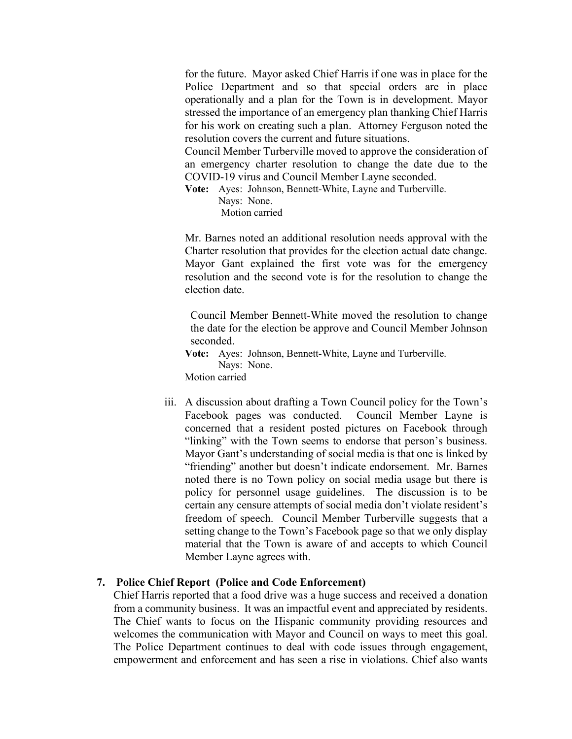for the future. Mayor asked Chief Harris if one was in place for the Police Department and so that special orders are in place operationally and a plan for the Town is in development. Mayor stressed the importance of an emergency plan thanking Chief Harris for his work on creating such a plan. Attorney Ferguson noted the resolution covers the current and future situations.

Council Member Turberville moved to approve the consideration of an emergency charter resolution to change the date due to the COVID-19 virus and Council Member Layne seconded.

**Vote:** Ayes: Johnson, Bennett-White, Layne and Turberville. Nays: None.

Motion carried

Mr. Barnes noted an additional resolution needs approval with the Charter resolution that provides for the election actual date change. Mayor Gant explained the first vote was for the emergency resolution and the second vote is for the resolution to change the election date.

Council Member Bennett-White moved the resolution to change the date for the election be approve and Council Member Johnson seconded.

**Vote:** Ayes: Johnson, Bennett-White, Layne and Turberville. Nays: None. Motion carried

iii. A discussion about drafting a Town Council policy for the Town's Facebook pages was conducted. Council Member Layne is concerned that a resident posted pictures on Facebook through "linking" with the Town seems to endorse that person's business. Mayor Gant's understanding of social media is that one is linked by "friending" another but doesn't indicate endorsement. Mr. Barnes noted there is no Town policy on social media usage but there is policy for personnel usage guidelines. The discussion is to be certain any censure attempts of social media don't violate resident's freedom of speech. Council Member Turberville suggests that a setting change to the Town's Facebook page so that we only display material that the Town is aware of and accepts to which Council Member Layne agrees with.

# **7. Police Chief Report (Police and Code Enforcement)**

Chief Harris reported that a food drive was a huge success and received a donation from a community business. It was an impactful event and appreciated by residents. The Chief wants to focus on the Hispanic community providing resources and welcomes the communication with Mayor and Council on ways to meet this goal. The Police Department continues to deal with code issues through engagement, empowerment and enforcement and has seen a rise in violations. Chief also wants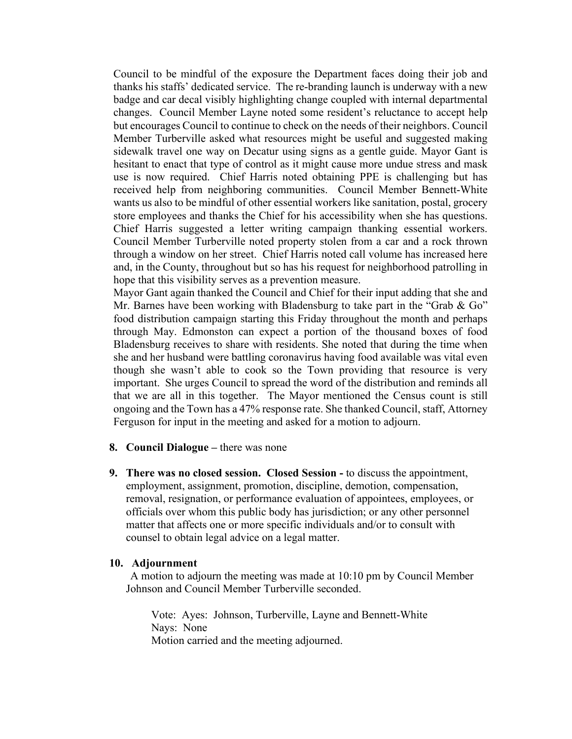Council to be mindful of the exposure the Department faces doing their job and thanks his staffs' dedicated service. The re-branding launch is underway with a new badge and car decal visibly highlighting change coupled with internal departmental changes. Council Member Layne noted some resident's reluctance to accept help but encourages Council to continue to check on the needs of their neighbors. Council Member Turberville asked what resources might be useful and suggested making sidewalk travel one way on Decatur using signs as a gentle guide. Mayor Gant is hesitant to enact that type of control as it might cause more undue stress and mask use is now required. Chief Harris noted obtaining PPE is challenging but has received help from neighboring communities. Council Member Bennett-White wants us also to be mindful of other essential workers like sanitation, postal, grocery store employees and thanks the Chief for his accessibility when she has questions. Chief Harris suggested a letter writing campaign thanking essential workers. Council Member Turberville noted property stolen from a car and a rock thrown through a window on her street. Chief Harris noted call volume has increased here and, in the County, throughout but so has his request for neighborhood patrolling in hope that this visibility serves as a prevention measure.

Mayor Gant again thanked the Council and Chief for their input adding that she and Mr. Barnes have been working with Bladensburg to take part in the "Grab & Go" food distribution campaign starting this Friday throughout the month and perhaps through May. Edmonston can expect a portion of the thousand boxes of food Bladensburg receives to share with residents. She noted that during the time when she and her husband were battling coronavirus having food available was vital even though she wasn't able to cook so the Town providing that resource is very important. She urges Council to spread the word of the distribution and reminds all that we are all in this together. The Mayor mentioned the Census count is still ongoing and the Town has a 47% response rate. She thanked Council, staff, Attorney Ferguson for input in the meeting and asked for a motion to adjourn.

- **8. Council Dialogue –** there was none
- **9. There was no closed session. Closed Session -** to discuss the appointment, employment, assignment, promotion, discipline, demotion, compensation, removal, resignation, or performance evaluation of appointees, employees, or officials over whom this public body has jurisdiction; or any other personnel matter that affects one or more specific individuals and/or to consult with counsel to obtain legal advice on a legal matter.

### **10. Adjournment**

A motion to adjourn the meeting was made at 10:10 pm by Council Member Johnson and Council Member Turberville seconded.

Vote: Ayes: Johnson, Turberville, Layne and Bennett-White Nays: None Motion carried and the meeting adjourned.